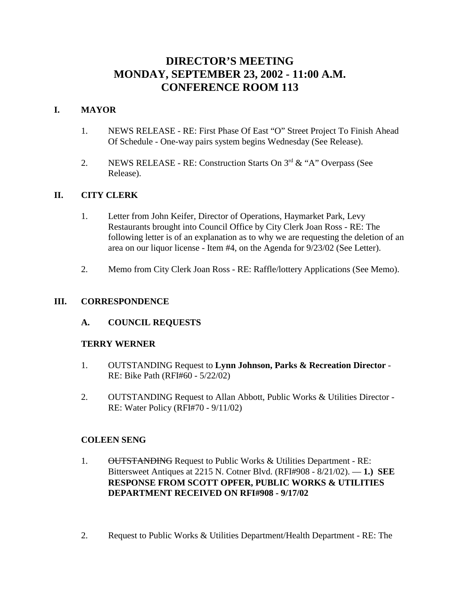# **DIRECTOR'S MEETING MONDAY, SEPTEMBER 23, 2002 - 11:00 A.M. CONFERENCE ROOM 113**

# **I. MAYOR**

- 1. NEWS RELEASE RE: First Phase Of East "O" Street Project To Finish Ahead Of Schedule - One-way pairs system begins Wednesday (See Release).
- 2. NEWS RELEASE RE: Construction Starts On  $3<sup>rd</sup> \& ^{\alpha}$  A" Overpass (See Release).

## **II. CITY CLERK**

- 1. Letter from John Keifer, Director of Operations, Haymarket Park, Levy Restaurants brought into Council Office by City Clerk Joan Ross - RE: The following letter is of an explanation as to why we are requesting the deletion of an area on our liquor license - Item #4, on the Agenda for 9/23/02 (See Letter).
- 2. Memo from City Clerk Joan Ross RE: Raffle/lottery Applications (See Memo).

#### **III. CORRESPONDENCE**

## **A. COUNCIL REQUESTS**

#### **TERRY WERNER**

- 1. OUTSTANDING Request to **Lynn Johnson, Parks & Recreation Director** RE: Bike Path (RFI#60 - 5/22/02)
- 2. OUTSTANDING Request to Allan Abbott, Public Works & Utilities Director RE: Water Policy (RFI#70 - 9/11/02)

#### **COLEEN SENG**

- 1. OUTSTANDING Request to Public Works & Utilities Department RE: Bittersweet Antiques at 2215 N. Cotner Blvd. (RFI#908 - 8/21/02). — **1.) SEE RESPONSE FROM SCOTT OPFER, PUBLIC WORKS & UTILITIES DEPARTMENT RECEIVED ON RFI#908 - 9/17/02**
- 2. Request to Public Works & Utilities Department/Health Department RE: The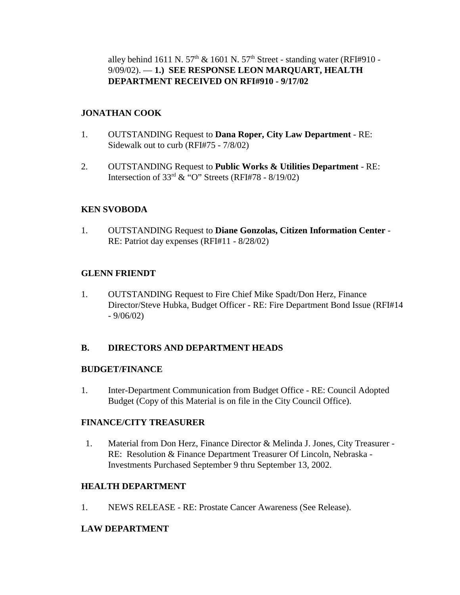alley behind 1611 N.  $57<sup>th</sup>$  & 1601 N.  $57<sup>th</sup>$  Street - standing water (RFI#910 -9/09/02). — **1.) SEE RESPONSE LEON MARQUART, HEALTH DEPARTMENT RECEIVED ON RFI#910 - 9/17/02**

## **JONATHAN COOK**

- 1. OUTSTANDING Request to **Dana Roper, City Law Department** RE: Sidewalk out to curb (RFI#75 - 7/8/02)
- 2. OUTSTANDING Request to **Public Works & Utilities Department** RE: Intersection of  $33<sup>rd</sup>$  & "O" Streets (RFI#78 - 8/19/02)

# **KEN SVOBODA**

1. OUTSTANDING Request to **Diane Gonzolas, Citizen Information Center** - RE: Patriot day expenses (RFI#11 - 8/28/02)

# **GLENN FRIENDT**

1. OUTSTANDING Request to Fire Chief Mike Spadt/Don Herz, Finance Director/Steve Hubka, Budget Officer - RE: Fire Department Bond Issue (RFI#14  $-9/06/02$ 

## **B. DIRECTORS AND DEPARTMENT HEADS**

## **BUDGET/FINANCE**

1. Inter-Department Communication from Budget Office - RE: Council Adopted Budget (Copy of this Material is on file in the City Council Office).

## **FINANCE/CITY TREASURER**

 1. Material from Don Herz, Finance Director & Melinda J. Jones, City Treasurer - RE: Resolution & Finance Department Treasurer Of Lincoln, Nebraska - Investments Purchased September 9 thru September 13, 2002.

## **HEALTH DEPARTMENT**

1. NEWS RELEASE - RE: Prostate Cancer Awareness (See Release).

# **LAW DEPARTMENT**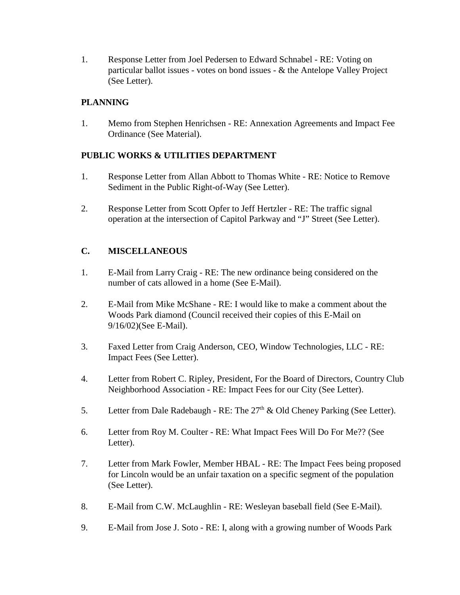1. Response Letter from Joel Pedersen to Edward Schnabel - RE: Voting on particular ballot issues - votes on bond issues - & the Antelope Valley Project (See Letter).

# **PLANNING**

1. Memo from Stephen Henrichsen - RE: Annexation Agreements and Impact Fee Ordinance (See Material).

# **PUBLIC WORKS & UTILITIES DEPARTMENT**

- 1. Response Letter from Allan Abbott to Thomas White RE: Notice to Remove Sediment in the Public Right-of-Way (See Letter).
- 2. Response Letter from Scott Opfer to Jeff Hertzler RE: The traffic signal operation at the intersection of Capitol Parkway and "J" Street (See Letter).

# **C. MISCELLANEOUS**

- 1. E-Mail from Larry Craig RE: The new ordinance being considered on the number of cats allowed in a home (See E-Mail).
- 2. E-Mail from Mike McShane RE: I would like to make a comment about the Woods Park diamond (Council received their copies of this E-Mail on 9/16/02)(See E-Mail).
- 3. Faxed Letter from Craig Anderson, CEO, Window Technologies, LLC RE: Impact Fees (See Letter).
- 4. Letter from Robert C. Ripley, President, For the Board of Directors, Country Club Neighborhood Association - RE: Impact Fees for our City (See Letter).
- 5. Letter from Dale Radebaugh RE: The  $27<sup>th</sup>$  & Old Cheney Parking (See Letter).
- 6. Letter from Roy M. Coulter RE: What Impact Fees Will Do For Me?? (See Letter).
- 7. Letter from Mark Fowler, Member HBAL RE: The Impact Fees being proposed for Lincoln would be an unfair taxation on a specific segment of the population (See Letter).
- 8. E-Mail from C.W. McLaughlin RE: Wesleyan baseball field (See E-Mail).
- 9. E-Mail from Jose J. Soto RE: I, along with a growing number of Woods Park